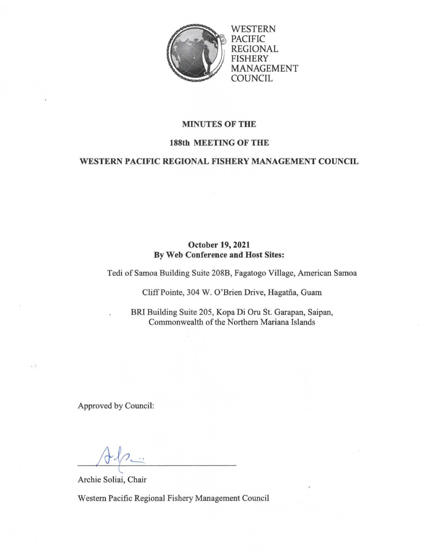

WESTERN PACIFIC REGIONAL FISHERY MANAGEMENT COUNCIL

## MINUTES OF THE

#### 188th MEETING OF THE

## WESTERN PACIFIC REGIONAL FISHERY MANAGEMENT COUNCIL

## October 19, 2021 By Web Conference and Host Sites:

Tedi of Samoa Building Suite 208B, Fagatogo Village, American Samoa

Cliff Pointe, 304 W. O'Brien Drive, Hagatña, Guam

BRI Building Suite 205, Kopa Di Oru St. Garapan, Saipan, Commonwealth of the Northern Mariana Islands

Approved by Council:

 $\sqrt{4}$ 

c

Archie Soliai, Chair

Western Pacific Regional Fishery Management Council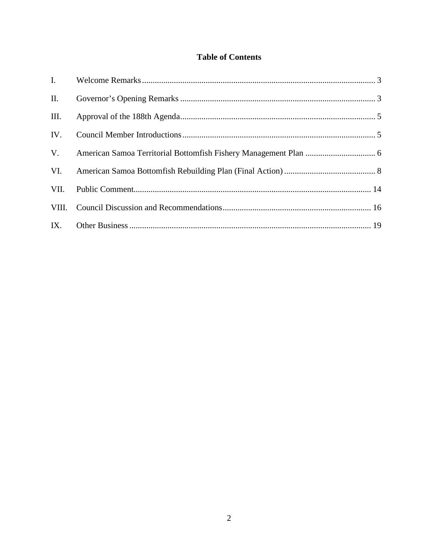## **Table of Contents**

| П.   |  |
|------|--|
| III. |  |
| IV.  |  |
| V.   |  |
| VI.  |  |
| VII. |  |
|      |  |
|      |  |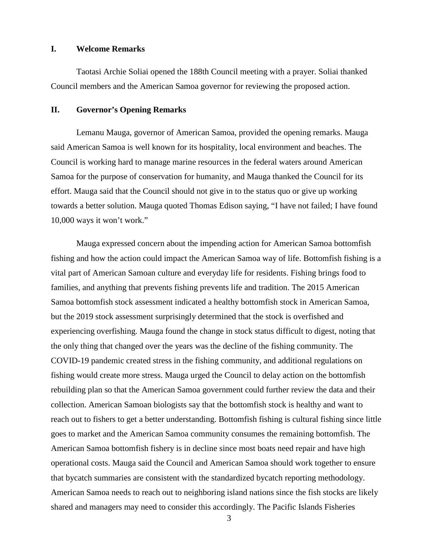### <span id="page-2-0"></span>**I. Welcome Remarks**

Taotasi Archie Soliai opened the 188th Council meeting with a prayer. Soliai thanked Council members and the American Samoa governor for reviewing the proposed action.

#### <span id="page-2-1"></span>**II. Governor's Opening Remarks**

Lemanu Mauga, governor of American Samoa, provided the opening remarks. Mauga said American Samoa is well known for its hospitality, local environment and beaches. The Council is working hard to manage marine resources in the federal waters around American Samoa for the purpose of conservation for humanity, and Mauga thanked the Council for its effort. Mauga said that the Council should not give in to the status quo or give up working towards a better solution. Mauga quoted Thomas Edison saying, "I have not failed; I have found 10,000 ways it won't work."

Mauga expressed concern about the impending action for American Samoa bottomfish fishing and how the action could impact the American Samoa way of life. Bottomfish fishing is a vital part of American Samoan culture and everyday life for residents. Fishing brings food to families, and anything that prevents fishing prevents life and tradition. The 2015 American Samoa bottomfish stock assessment indicated a healthy bottomfish stock in American Samoa, but the 2019 stock assessment surprisingly determined that the stock is overfished and experiencing overfishing. Mauga found the change in stock status difficult to digest, noting that the only thing that changed over the years was the decline of the fishing community. The COVID-19 pandemic created stress in the fishing community, and additional regulations on fishing would create more stress. Mauga urged the Council to delay action on the bottomfish rebuilding plan so that the American Samoa government could further review the data and their collection. American Samoan biologists say that the bottomfish stock is healthy and want to reach out to fishers to get a better understanding. Bottomfish fishing is cultural fishing since little goes to market and the American Samoa community consumes the remaining bottomfish. The American Samoa bottomfish fishery is in decline since most boats need repair and have high operational costs. Mauga said the Council and American Samoa should work together to ensure that bycatch summaries are consistent with the standardized bycatch reporting methodology. American Samoa needs to reach out to neighboring island nations since the fish stocks are likely shared and managers may need to consider this accordingly. The Pacific Islands Fisheries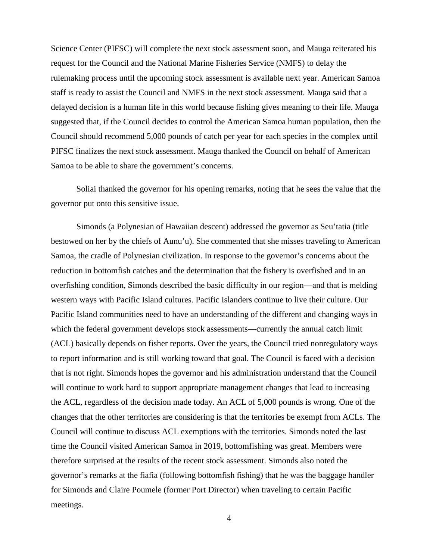Science Center (PIFSC) will complete the next stock assessment soon, and Mauga reiterated his request for the Council and the National Marine Fisheries Service (NMFS) to delay the rulemaking process until the upcoming stock assessment is available next year. American Samoa staff is ready to assist the Council and NMFS in the next stock assessment. Mauga said that a delayed decision is a human life in this world because fishing gives meaning to their life. Mauga suggested that, if the Council decides to control the American Samoa human population, then the Council should recommend 5,000 pounds of catch per year for each species in the complex until PIFSC finalizes the next stock assessment. Mauga thanked the Council on behalf of American Samoa to be able to share the government's concerns.

Soliai thanked the governor for his opening remarks, noting that he sees the value that the governor put onto this sensitive issue.

Simonds (a Polynesian of Hawaiian descent) addressed the governor as Seu'tatia (title bestowed on her by the chiefs of Aunu'u). She commented that she misses traveling to American Samoa, the cradle of Polynesian civilization. In response to the governor's concerns about the reduction in bottomfish catches and the determination that the fishery is overfished and in an overfishing condition, Simonds described the basic difficulty in our region—and that is melding western ways with Pacific Island cultures. Pacific Islanders continue to live their culture. Our Pacific Island communities need to have an understanding of the different and changing ways in which the federal government develops stock assessments—currently the annual catch limit (ACL) basically depends on fisher reports. Over the years, the Council tried nonregulatory ways to report information and is still working toward that goal. The Council is faced with a decision that is not right. Simonds hopes the governor and his administration understand that the Council will continue to work hard to support appropriate management changes that lead to increasing the ACL, regardless of the decision made today. An ACL of 5,000 pounds is wrong. One of the changes that the other territories are considering is that the territories be exempt from ACLs. The Council will continue to discuss ACL exemptions with the territories. Simonds noted the last time the Council visited American Samoa in 2019, bottomfishing was great. Members were therefore surprised at the results of the recent stock assessment. Simonds also noted the governor's remarks at the fiafia (following bottomfish fishing) that he was the baggage handler for Simonds and Claire Poumele (former Port Director) when traveling to certain Pacific meetings.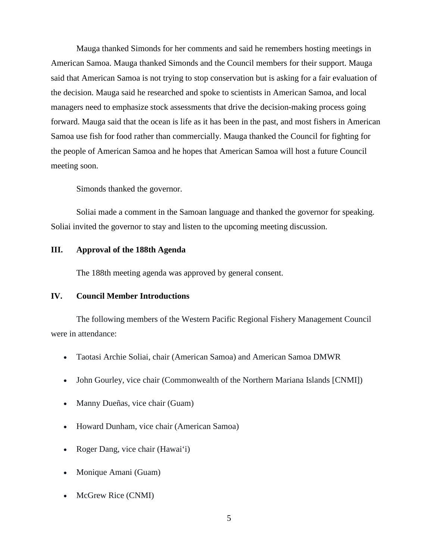Mauga thanked Simonds for her comments and said he remembers hosting meetings in American Samoa. Mauga thanked Simonds and the Council members for their support. Mauga said that American Samoa is not trying to stop conservation but is asking for a fair evaluation of the decision. Mauga said he researched and spoke to scientists in American Samoa, and local managers need to emphasize stock assessments that drive the decision-making process going forward. Mauga said that the ocean is life as it has been in the past, and most fishers in American Samoa use fish for food rather than commercially. Mauga thanked the Council for fighting for the people of American Samoa and he hopes that American Samoa will host a future Council meeting soon.

Simonds thanked the governor.

Soliai made a comment in the Samoan language and thanked the governor for speaking. Soliai invited the governor to stay and listen to the upcoming meeting discussion.

#### <span id="page-4-0"></span>**III. Approval of the 188th Agenda**

The 188th meeting agenda was approved by general consent.

#### <span id="page-4-1"></span>**IV. Council Member Introductions**

The following members of the Western Pacific Regional Fishery Management Council were in attendance:

- Taotasi Archie Soliai, chair (American Samoa) and American Samoa DMWR
- John Gourley, vice chair (Commonwealth of the Northern Mariana Islands [CNMI])
- Manny Dueñas, vice chair (Guam)
- Howard Dunham, vice chair (American Samoa)
- Roger Dang, vice chair (Hawai'i)
- Monique Amani (Guam)
- McGrew Rice (CNMI)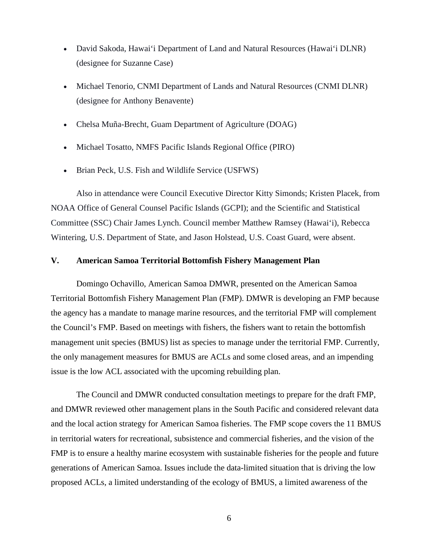- David Sakoda, Hawai'i Department of Land and Natural Resources (Hawai'i DLNR) (designee for Suzanne Case)
- Michael Tenorio, CNMI Department of Lands and Natural Resources (CNMI DLNR) (designee for Anthony Benavente)
- Chelsa Muña-Brecht, Guam Department of Agriculture (DOAG)
- Michael Tosatto, NMFS Pacific Islands Regional Office (PIRO)
- Brian Peck, U.S. Fish and Wildlife Service (USFWS)

Also in attendance were Council Executive Director Kitty Simonds; Kristen Placek, from NOAA Office of General Counsel Pacific Islands (GCPI); and the Scientific and Statistical Committee (SSC) Chair James Lynch. Council member Matthew Ramsey (Hawai'i), Rebecca Wintering, U.S. Department of State, and Jason Holstead, U.S. Coast Guard, were absent.

#### <span id="page-5-0"></span>**V. American Samoa Territorial Bottomfish Fishery Management Plan**

Domingo Ochavillo, American Samoa DMWR, presented on the American Samoa Territorial Bottomfish Fishery Management Plan (FMP). DMWR is developing an FMP because the agency has a mandate to manage marine resources, and the territorial FMP will complement the Council's FMP. Based on meetings with fishers, the fishers want to retain the bottomfish management unit species (BMUS) list as species to manage under the territorial FMP. Currently, the only management measures for BMUS are ACLs and some closed areas, and an impending issue is the low ACL associated with the upcoming rebuilding plan.

The Council and DMWR conducted consultation meetings to prepare for the draft FMP, and DMWR reviewed other management plans in the South Pacific and considered relevant data and the local action strategy for American Samoa fisheries. The FMP scope covers the 11 BMUS in territorial waters for recreational, subsistence and commercial fisheries, and the vision of the FMP is to ensure a healthy marine ecosystem with sustainable fisheries for the people and future generations of American Samoa. Issues include the data-limited situation that is driving the low proposed ACLs, a limited understanding of the ecology of BMUS, a limited awareness of the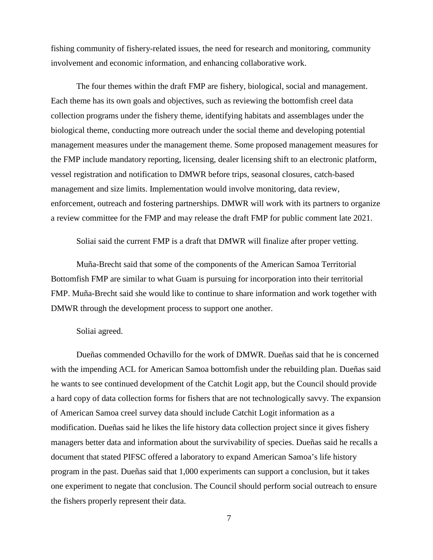fishing community of fishery-related issues, the need for research and monitoring, community involvement and economic information, and enhancing collaborative work.

The four themes within the draft FMP are fishery, biological, social and management. Each theme has its own goals and objectives, such as reviewing the bottomfish creel data collection programs under the fishery theme, identifying habitats and assemblages under the biological theme, conducting more outreach under the social theme and developing potential management measures under the management theme. Some proposed management measures for the FMP include mandatory reporting, licensing, dealer licensing shift to an electronic platform, vessel registration and notification to DMWR before trips, seasonal closures, catch-based management and size limits. Implementation would involve monitoring, data review, enforcement, outreach and fostering partnerships. DMWR will work with its partners to organize a review committee for the FMP and may release the draft FMP for public comment late 2021.

Soliai said the current FMP is a draft that DMWR will finalize after proper vetting.

Muña-Brecht said that some of the components of the American Samoa Territorial Bottomfish FMP are similar to what Guam is pursuing for incorporation into their territorial FMP. Muña-Brecht said she would like to continue to share information and work together with DMWR through the development process to support one another.

#### Soliai agreed.

Dueñas commended Ochavillo for the work of DMWR. Dueñas said that he is concerned with the impending ACL for American Samoa bottomfish under the rebuilding plan. Dueñas said he wants to see continued development of the Catchit Logit app, but the Council should provide a hard copy of data collection forms for fishers that are not technologically savvy. The expansion of American Samoa creel survey data should include Catchit Logit information as a modification. Dueñas said he likes the life history data collection project since it gives fishery managers better data and information about the survivability of species. Dueñas said he recalls a document that stated PIFSC offered a laboratory to expand American Samoa's life history program in the past. Dueñas said that 1,000 experiments can support a conclusion, but it takes one experiment to negate that conclusion. The Council should perform social outreach to ensure the fishers properly represent their data.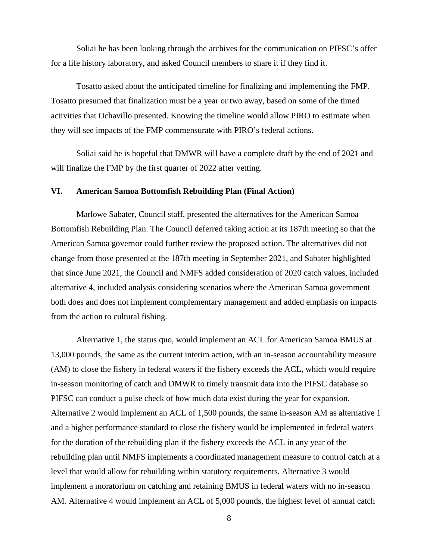Soliai he has been looking through the archives for the communication on PIFSC's offer for a life history laboratory, and asked Council members to share it if they find it.

Tosatto asked about the anticipated timeline for finalizing and implementing the FMP. Tosatto presumed that finalization must be a year or two away, based on some of the timed activities that Ochavillo presented. Knowing the timeline would allow PIRO to estimate when they will see impacts of the FMP commensurate with PIRO's federal actions.

Soliai said he is hopeful that DMWR will have a complete draft by the end of 2021 and will finalize the FMP by the first quarter of 2022 after vetting.

#### <span id="page-7-0"></span>**VI. American Samoa Bottomfish Rebuilding Plan (Final Action)**

Marlowe Sabater, Council staff, presented the alternatives for the American Samoa Bottomfish Rebuilding Plan. The Council deferred taking action at its 187th meeting so that the American Samoa governor could further review the proposed action. The alternatives did not change from those presented at the 187th meeting in September 2021, and Sabater highlighted that since June 2021, the Council and NMFS added consideration of 2020 catch values, included alternative 4, included analysis considering scenarios where the American Samoa government both does and does not implement complementary management and added emphasis on impacts from the action to cultural fishing.

Alternative 1, the status quo, would implement an ACL for American Samoa BMUS at 13,000 pounds, the same as the current interim action, with an in-season accountability measure (AM) to close the fishery in federal waters if the fishery exceeds the ACL, which would require in-season monitoring of catch and DMWR to timely transmit data into the PIFSC database so PIFSC can conduct a pulse check of how much data exist during the year for expansion. Alternative 2 would implement an ACL of 1,500 pounds, the same in-season AM as alternative 1 and a higher performance standard to close the fishery would be implemented in federal waters for the duration of the rebuilding plan if the fishery exceeds the ACL in any year of the rebuilding plan until NMFS implements a coordinated management measure to control catch at a level that would allow for rebuilding within statutory requirements. Alternative 3 would implement a moratorium on catching and retaining BMUS in federal waters with no in-season AM. Alternative 4 would implement an ACL of 5,000 pounds, the highest level of annual catch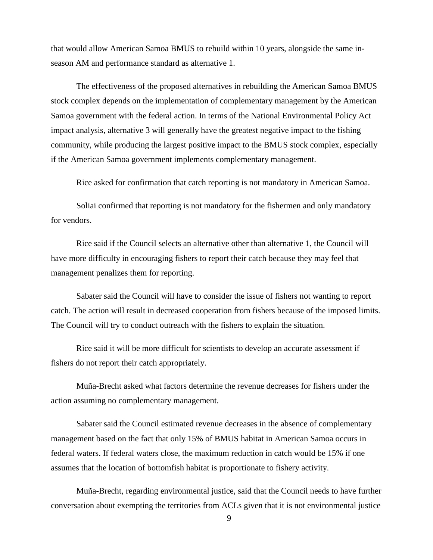that would allow American Samoa BMUS to rebuild within 10 years, alongside the same inseason AM and performance standard as alternative 1.

The effectiveness of the proposed alternatives in rebuilding the American Samoa BMUS stock complex depends on the implementation of complementary management by the American Samoa government with the federal action. In terms of the National Environmental Policy Act impact analysis, alternative 3 will generally have the greatest negative impact to the fishing community, while producing the largest positive impact to the BMUS stock complex, especially if the American Samoa government implements complementary management.

Rice asked for confirmation that catch reporting is not mandatory in American Samoa.

Soliai confirmed that reporting is not mandatory for the fishermen and only mandatory for vendors.

Rice said if the Council selects an alternative other than alternative 1, the Council will have more difficulty in encouraging fishers to report their catch because they may feel that management penalizes them for reporting.

Sabater said the Council will have to consider the issue of fishers not wanting to report catch. The action will result in decreased cooperation from fishers because of the imposed limits. The Council will try to conduct outreach with the fishers to explain the situation.

Rice said it will be more difficult for scientists to develop an accurate assessment if fishers do not report their catch appropriately.

Muña-Brecht asked what factors determine the revenue decreases for fishers under the action assuming no complementary management.

Sabater said the Council estimated revenue decreases in the absence of complementary management based on the fact that only 15% of BMUS habitat in American Samoa occurs in federal waters. If federal waters close, the maximum reduction in catch would be 15% if one assumes that the location of bottomfish habitat is proportionate to fishery activity.

Muña-Brecht, regarding environmental justice, said that the Council needs to have further conversation about exempting the territories from ACLs given that it is not environmental justice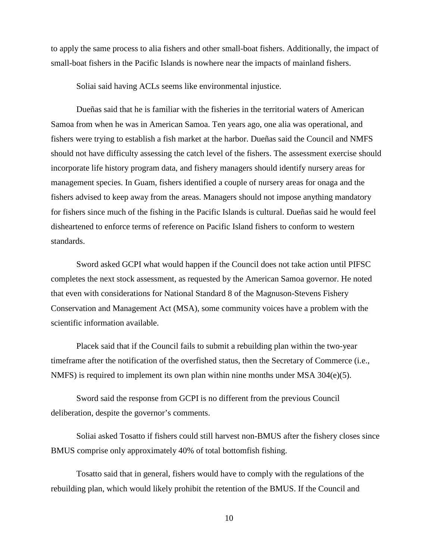to apply the same process to alia fishers and other small-boat fishers. Additionally, the impact of small-boat fishers in the Pacific Islands is nowhere near the impacts of mainland fishers.

Soliai said having ACLs seems like environmental injustice.

Dueñas said that he is familiar with the fisheries in the territorial waters of American Samoa from when he was in American Samoa. Ten years ago, one alia was operational, and fishers were trying to establish a fish market at the harbor. Dueñas said the Council and NMFS should not have difficulty assessing the catch level of the fishers. The assessment exercise should incorporate life history program data, and fishery managers should identify nursery areas for management species. In Guam, fishers identified a couple of nursery areas for onaga and the fishers advised to keep away from the areas. Managers should not impose anything mandatory for fishers since much of the fishing in the Pacific Islands is cultural. Dueñas said he would feel disheartened to enforce terms of reference on Pacific Island fishers to conform to western standards.

Sword asked GCPI what would happen if the Council does not take action until PIFSC completes the next stock assessment, as requested by the American Samoa governor. He noted that even with considerations for National Standard 8 of the Magnuson-Stevens Fishery Conservation and Management Act (MSA), some community voices have a problem with the scientific information available.

Placek said that if the Council fails to submit a rebuilding plan within the two-year timeframe after the notification of the overfished status, then the Secretary of Commerce (i.e., NMFS) is required to implement its own plan within nine months under MSA 304(e)(5).

Sword said the response from GCPI is no different from the previous Council deliberation, despite the governor's comments.

Soliai asked Tosatto if fishers could still harvest non-BMUS after the fishery closes since BMUS comprise only approximately 40% of total bottomfish fishing.

Tosatto said that in general, fishers would have to comply with the regulations of the rebuilding plan, which would likely prohibit the retention of the BMUS. If the Council and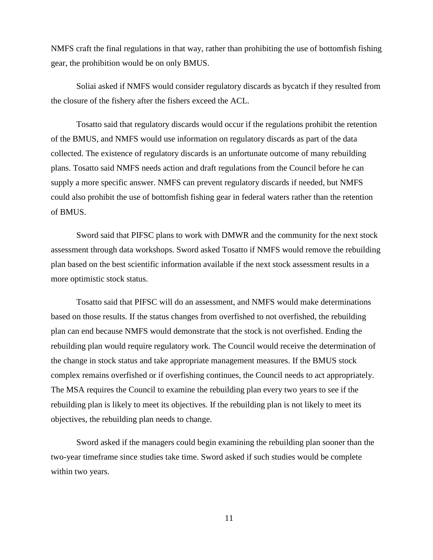NMFS craft the final regulations in that way, rather than prohibiting the use of bottomfish fishing gear, the prohibition would be on only BMUS.

Soliai asked if NMFS would consider regulatory discards as bycatch if they resulted from the closure of the fishery after the fishers exceed the ACL.

Tosatto said that regulatory discards would occur if the regulations prohibit the retention of the BMUS, and NMFS would use information on regulatory discards as part of the data collected. The existence of regulatory discards is an unfortunate outcome of many rebuilding plans. Tosatto said NMFS needs action and draft regulations from the Council before he can supply a more specific answer. NMFS can prevent regulatory discards if needed, but NMFS could also prohibit the use of bottomfish fishing gear in federal waters rather than the retention of BMUS.

Sword said that PIFSC plans to work with DMWR and the community for the next stock assessment through data workshops. Sword asked Tosatto if NMFS would remove the rebuilding plan based on the best scientific information available if the next stock assessment results in a more optimistic stock status.

Tosatto said that PIFSC will do an assessment, and NMFS would make determinations based on those results. If the status changes from overfished to not overfished, the rebuilding plan can end because NMFS would demonstrate that the stock is not overfished. Ending the rebuilding plan would require regulatory work. The Council would receive the determination of the change in stock status and take appropriate management measures. If the BMUS stock complex remains overfished or if overfishing continues, the Council needs to act appropriately. The MSA requires the Council to examine the rebuilding plan every two years to see if the rebuilding plan is likely to meet its objectives. If the rebuilding plan is not likely to meet its objectives, the rebuilding plan needs to change.

Sword asked if the managers could begin examining the rebuilding plan sooner than the two-year timeframe since studies take time. Sword asked if such studies would be complete within two years.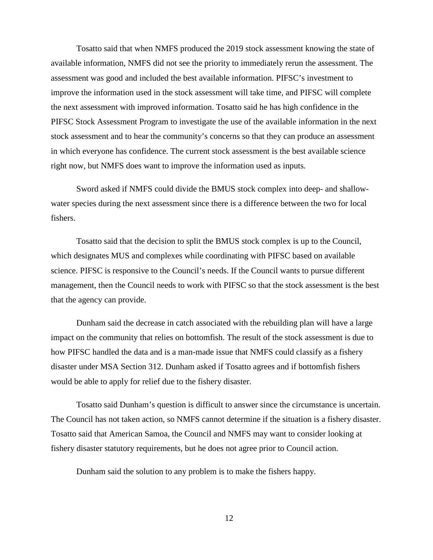Tosatto said that when NMFS produced the 2019 stock assessment knowing the state of available information, NMFS did not see the priority to immediately rerun the assessment. The assessment was good and included the best available information. PIFSC's investment to improve the information used in the stock assessment will take time, and PIFSC will complete the next assessment with improved information. Tosatto said he has high confidence in the PIFSC Stock Assessment Program to investigate the use of the available information in the next stock assessment and to hear the community's concerns so that they can produce an assessment in which everyone has confidence. The current stock assessment is the best available science right now, but NMFS does want to improve the information used as inputs.

Sword asked if NMFS could divide the BMUS stock complex into deep- and shallowwater species during the next assessment since there is a difference between the two for local fishers.

Tosatto said that the decision to split the BMUS stock complex is up to the Council, which designates MUS and complexes while coordinating with PIFSC based on available science. PIFSC is responsive to the Council's needs. If the Council wants to pursue different management, then the Council needs to work with PIFSC so that the stock assessment is the best that the agency can provide.

Dunham said the decrease in catch associated with the rebuilding plan will have a large impact on the community that relies on bottomfish. The result of the stock assessment is due to how PIFSC handled the data and is a man-made issue that NMFS could classify as a fishery disaster under MSA Section 312. Dunham asked if Tosatto agrees and if bottomfish fishers would be able to apply for relief due to the fishery disaster.

Tosatto said Dunham's question is difficult to answer since the circumstance is uncertain. The Council has not taken action, so NMFS cannot determine if the situation is a fishery disaster. Tosatto said that American Samoa, the Council and NMFS may want to consider looking at fishery disaster statutory requirements, but he does not agree prior to Council action.

Dunham said the solution to any problem is to make the fishers happy.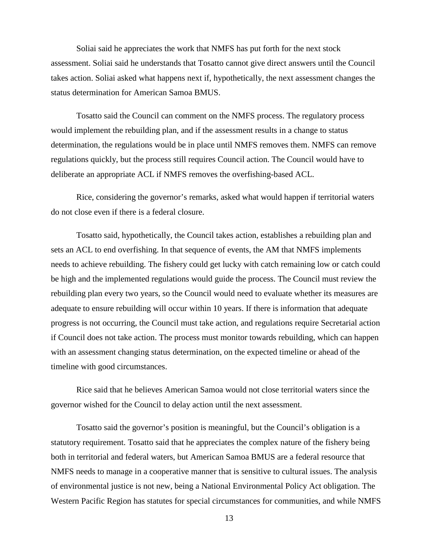Soliai said he appreciates the work that NMFS has put forth for the next stock assessment. Soliai said he understands that Tosatto cannot give direct answers until the Council takes action. Soliai asked what happens next if, hypothetically, the next assessment changes the status determination for American Samoa BMUS.

Tosatto said the Council can comment on the NMFS process. The regulatory process would implement the rebuilding plan, and if the assessment results in a change to status determination, the regulations would be in place until NMFS removes them. NMFS can remove regulations quickly, but the process still requires Council action. The Council would have to deliberate an appropriate ACL if NMFS removes the overfishing-based ACL.

Rice, considering the governor's remarks, asked what would happen if territorial waters do not close even if there is a federal closure.

Tosatto said, hypothetically, the Council takes action, establishes a rebuilding plan and sets an ACL to end overfishing. In that sequence of events, the AM that NMFS implements needs to achieve rebuilding. The fishery could get lucky with catch remaining low or catch could be high and the implemented regulations would guide the process. The Council must review the rebuilding plan every two years, so the Council would need to evaluate whether its measures are adequate to ensure rebuilding will occur within 10 years. If there is information that adequate progress is not occurring, the Council must take action, and regulations require Secretarial action if Council does not take action. The process must monitor towards rebuilding, which can happen with an assessment changing status determination, on the expected timeline or ahead of the timeline with good circumstances.

Rice said that he believes American Samoa would not close territorial waters since the governor wished for the Council to delay action until the next assessment.

Tosatto said the governor's position is meaningful, but the Council's obligation is a statutory requirement. Tosatto said that he appreciates the complex nature of the fishery being both in territorial and federal waters, but American Samoa BMUS are a federal resource that NMFS needs to manage in a cooperative manner that is sensitive to cultural issues. The analysis of environmental justice is not new, being a National Environmental Policy Act obligation. The Western Pacific Region has statutes for special circumstances for communities, and while NMFS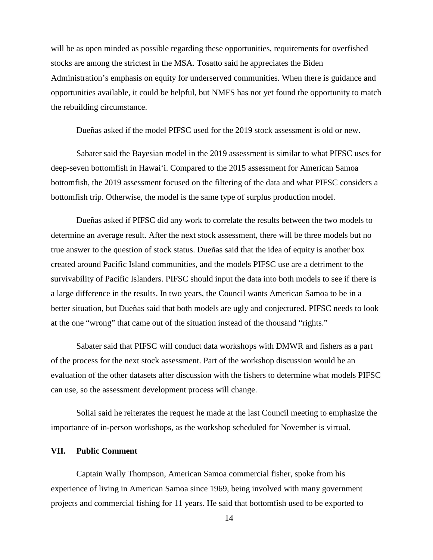will be as open minded as possible regarding these opportunities, requirements for overfished stocks are among the strictest in the MSA. Tosatto said he appreciates the Biden Administration's emphasis on equity for underserved communities. When there is guidance and opportunities available, it could be helpful, but NMFS has not yet found the opportunity to match the rebuilding circumstance.

Dueñas asked if the model PIFSC used for the 2019 stock assessment is old or new.

Sabater said the Bayesian model in the 2019 assessment is similar to what PIFSC uses for deep-seven bottomfish in Hawai'i. Compared to the 2015 assessment for American Samoa bottomfish, the 2019 assessment focused on the filtering of the data and what PIFSC considers a bottomfish trip. Otherwise, the model is the same type of surplus production model.

Dueñas asked if PIFSC did any work to correlate the results between the two models to determine an average result. After the next stock assessment, there will be three models but no true answer to the question of stock status. Dueñas said that the idea of equity is another box created around Pacific Island communities, and the models PIFSC use are a detriment to the survivability of Pacific Islanders. PIFSC should input the data into both models to see if there is a large difference in the results. In two years, the Council wants American Samoa to be in a better situation, but Dueñas said that both models are ugly and conjectured. PIFSC needs to look at the one "wrong" that came out of the situation instead of the thousand "rights."

Sabater said that PIFSC will conduct data workshops with DMWR and fishers as a part of the process for the next stock assessment. Part of the workshop discussion would be an evaluation of the other datasets after discussion with the fishers to determine what models PIFSC can use, so the assessment development process will change.

Soliai said he reiterates the request he made at the last Council meeting to emphasize the importance of in-person workshops, as the workshop scheduled for November is virtual.

### <span id="page-13-0"></span>**VII. Public Comment**

Captain Wally Thompson, American Samoa commercial fisher, spoke from his experience of living in American Samoa since 1969, being involved with many government projects and commercial fishing for 11 years. He said that bottomfish used to be exported to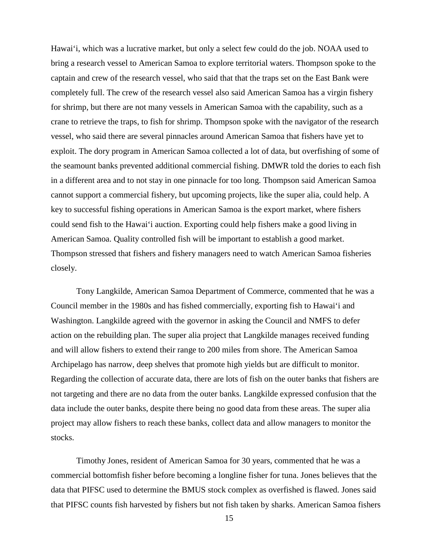Hawai'i, which was a lucrative market, but only a select few could do the job. NOAA used to bring a research vessel to American Samoa to explore territorial waters. Thompson spoke to the captain and crew of the research vessel, who said that that the traps set on the East Bank were completely full. The crew of the research vessel also said American Samoa has a virgin fishery for shrimp, but there are not many vessels in American Samoa with the capability, such as a crane to retrieve the traps, to fish for shrimp. Thompson spoke with the navigator of the research vessel, who said there are several pinnacles around American Samoa that fishers have yet to exploit. The dory program in American Samoa collected a lot of data, but overfishing of some of the seamount banks prevented additional commercial fishing. DMWR told the dories to each fish in a different area and to not stay in one pinnacle for too long. Thompson said American Samoa cannot support a commercial fishery, but upcoming projects, like the super alia, could help. A key to successful fishing operations in American Samoa is the export market, where fishers could send fish to the Hawai'i auction. Exporting could help fishers make a good living in American Samoa. Quality controlled fish will be important to establish a good market. Thompson stressed that fishers and fishery managers need to watch American Samoa fisheries closely.

Tony Langkilde, American Samoa Department of Commerce, commented that he was a Council member in the 1980s and has fished commercially, exporting fish to Hawai'i and Washington. Langkilde agreed with the governor in asking the Council and NMFS to defer action on the rebuilding plan. The super alia project that Langkilde manages received funding and will allow fishers to extend their range to 200 miles from shore. The American Samoa Archipelago has narrow, deep shelves that promote high yields but are difficult to monitor. Regarding the collection of accurate data, there are lots of fish on the outer banks that fishers are not targeting and there are no data from the outer banks. Langkilde expressed confusion that the data include the outer banks, despite there being no good data from these areas. The super alia project may allow fishers to reach these banks, collect data and allow managers to monitor the stocks.

Timothy Jones, resident of American Samoa for 30 years, commented that he was a commercial bottomfish fisher before becoming a longline fisher for tuna. Jones believes that the data that PIFSC used to determine the BMUS stock complex as overfished is flawed. Jones said that PIFSC counts fish harvested by fishers but not fish taken by sharks. American Samoa fishers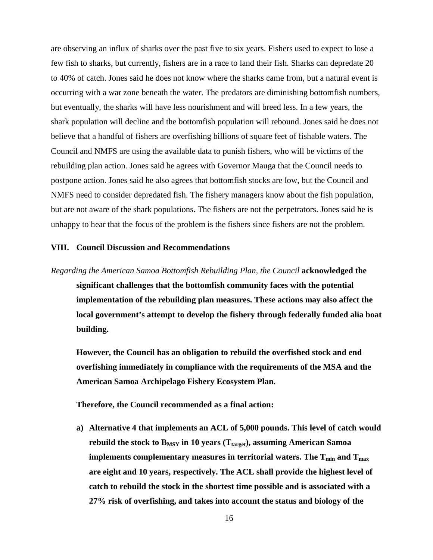are observing an influx of sharks over the past five to six years. Fishers used to expect to lose a few fish to sharks, but currently, fishers are in a race to land their fish. Sharks can depredate 20 to 40% of catch. Jones said he does not know where the sharks came from, but a natural event is occurring with a war zone beneath the water. The predators are diminishing bottomfish numbers, but eventually, the sharks will have less nourishment and will breed less. In a few years, the shark population will decline and the bottomfish population will rebound. Jones said he does not believe that a handful of fishers are overfishing billions of square feet of fishable waters. The Council and NMFS are using the available data to punish fishers, who will be victims of the rebuilding plan action. Jones said he agrees with Governor Mauga that the Council needs to postpone action. Jones said he also agrees that bottomfish stocks are low, but the Council and NMFS need to consider depredated fish. The fishery managers know about the fish population, but are not aware of the shark populations. The fishers are not the perpetrators. Jones said he is unhappy to hear that the focus of the problem is the fishers since fishers are not the problem.

#### <span id="page-15-0"></span>**VIII. Council Discussion and Recommendations**

*Regarding the American Samoa Bottomfish Rebuilding Plan, the Council* **acknowledged the significant challenges that the bottomfish community faces with the potential implementation of the rebuilding plan measures. These actions may also affect the local government's attempt to develop the fishery through federally funded alia boat building.** 

**However, the Council has an obligation to rebuild the overfished stock and end overfishing immediately in compliance with the requirements of the MSA and the American Samoa Archipelago Fishery Ecosystem Plan.** 

**Therefore, the Council recommended as a final action:** 

**a) Alternative 4 that implements an ACL of 5,000 pounds. This level of catch would**  rebuild the stock to  $B_{MSY}$  in 10 years  $(T_{target})$ , assuming American Samoa **implements complementary measures in territorial waters. The**  $T_{min}$  **and**  $T_{max}$ **are eight and 10 years, respectively. The ACL shall provide the highest level of catch to rebuild the stock in the shortest time possible and is associated with a 27% risk of overfishing, and takes into account the status and biology of the**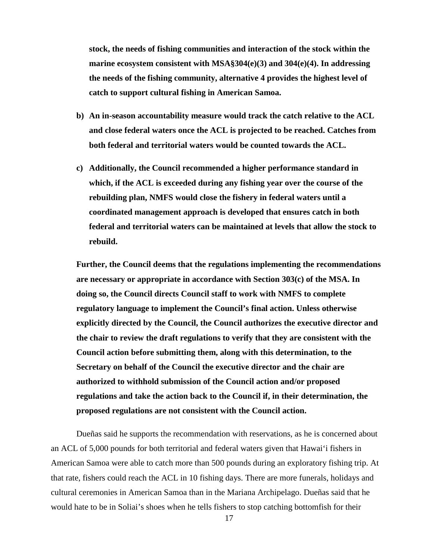**stock, the needs of fishing communities and interaction of the stock within the marine ecosystem consistent with MSA§304(e)(3) and 304(e)(4). In addressing the needs of the fishing community, alternative 4 provides the highest level of catch to support cultural fishing in American Samoa.**

- **b) An in-season accountability measure would track the catch relative to the ACL and close federal waters once the ACL is projected to be reached. Catches from both federal and territorial waters would be counted towards the ACL.**
- **c) Additionally, the Council recommended a higher performance standard in which, if the ACL is exceeded during any fishing year over the course of the rebuilding plan, NMFS would close the fishery in federal waters until a coordinated management approach is developed that ensures catch in both federal and territorial waters can be maintained at levels that allow the stock to rebuild.**

**Further, the Council deems that the regulations implementing the recommendations are necessary or appropriate in accordance with Section 303(c) of the MSA. In doing so, the Council directs Council staff to work with NMFS to complete regulatory language to implement the Council's final action. Unless otherwise explicitly directed by the Council, the Council authorizes the executive director and the chair to review the draft regulations to verify that they are consistent with the Council action before submitting them, along with this determination, to the Secretary on behalf of the Council the executive director and the chair are authorized to withhold submission of the Council action and/or proposed regulations and take the action back to the Council if, in their determination, the proposed regulations are not consistent with the Council action.**

Dueñas said he supports the recommendation with reservations, as he is concerned about an ACL of 5,000 pounds for both territorial and federal waters given that Hawai'i fishers in American Samoa were able to catch more than 500 pounds during an exploratory fishing trip. At that rate, fishers could reach the ACL in 10 fishing days. There are more funerals, holidays and cultural ceremonies in American Samoa than in the Mariana Archipelago. Dueñas said that he would hate to be in Soliai's shoes when he tells fishers to stop catching bottomfish for their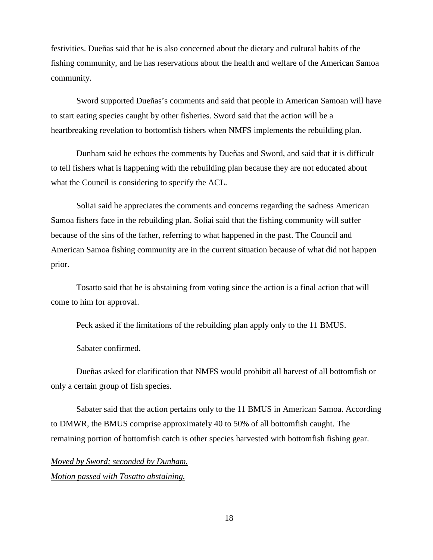festivities. Dueñas said that he is also concerned about the dietary and cultural habits of the fishing community, and he has reservations about the health and welfare of the American Samoa community.

Sword supported Dueñas's comments and said that people in American Samoan will have to start eating species caught by other fisheries. Sword said that the action will be a heartbreaking revelation to bottomfish fishers when NMFS implements the rebuilding plan.

Dunham said he echoes the comments by Dueñas and Sword, and said that it is difficult to tell fishers what is happening with the rebuilding plan because they are not educated about what the Council is considering to specify the ACL.

Soliai said he appreciates the comments and concerns regarding the sadness American Samoa fishers face in the rebuilding plan. Soliai said that the fishing community will suffer because of the sins of the father, referring to what happened in the past. The Council and American Samoa fishing community are in the current situation because of what did not happen prior.

Tosatto said that he is abstaining from voting since the action is a final action that will come to him for approval.

Peck asked if the limitations of the rebuilding plan apply only to the 11 BMUS.

Sabater confirmed.

Dueñas asked for clarification that NMFS would prohibit all harvest of all bottomfish or only a certain group of fish species.

Sabater said that the action pertains only to the 11 BMUS in American Samoa. According to DMWR, the BMUS comprise approximately 40 to 50% of all bottomfish caught. The remaining portion of bottomfish catch is other species harvested with bottomfish fishing gear.

# *Moved by Sword; seconded by Dunham. Motion passed with Tosatto abstaining.*